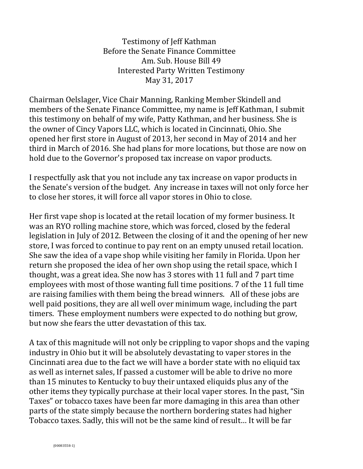Testimony of Jeff Kathman Before the Senate Finance Committee Am. Sub. House Bill 49 Interested Party Written Testimony May 31, 2017

Chairman Oelslager, Vice Chair Manning, Ranking Member Skindell and members of the Senate Finance Committee, my name is Jeff Kathman, I submit this testimony on behalf of my wife, Patty Kathman, and her business. She is the owner of Cincy Vapors LLC, which is located in Cincinnati, Ohio. She opened her first store in August of 2013, her second in May of 2014 and her third in March of 2016. She had plans for more locations, but those are now on hold due to the Governor's proposed tax increase on vapor products.

I respectfully ask that you not include any tax increase on vapor products in the Senate's version of the budget. Any increase in taxes will not only force her to close her stores, it will force all vapor stores in Ohio to close.

Her first vape shop is located at the retail location of my former business. It was an RYO rolling machine store, which was forced, closed by the federal legislation in July of 2012. Between the closing of it and the opening of her new store, I was forced to continue to pay rent on an empty unused retail location. She saw the idea of a vape shop while visiting her family in Florida. Upon her return she proposed the idea of her own shop using the retail space, which I thought, was a great idea. She now has 3 stores with 11 full and 7 part time employees with most of those wanting full time positions. 7 of the 11 full time are raising families with them being the bread winners. All of these jobs are well paid positions, they are all well over minimum wage, including the part timers. These employment numbers were expected to do nothing but grow, but now she fears the utter devastation of this tax.

A tax of this magnitude will not only be crippling to vapor shops and the vaping industry in Ohio but it will be absolutely devastating to vaper stores in the Cincinnati area due to the fact we will have a border state with no eliquid tax as well as internet sales, If passed a customer will be able to drive no more than 15 minutes to Kentucky to buy their untaxed eliquids plus any of the other items they typically purchase at their local vaper stores. In the past, "Sin Taxes" or tobacco taxes have been far more damaging in this area than other parts of the state simply because the northern bordering states had higher Tobacco taxes. Sadly, this will not be the same kind of result… It will be far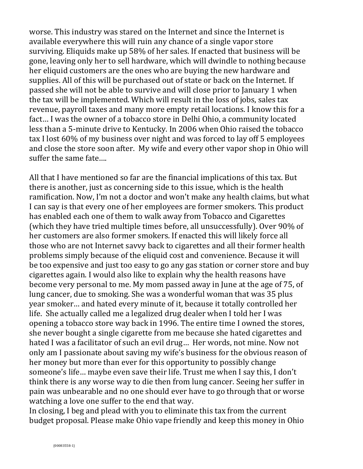worse. This industry was stared on the Internet and since the Internet is available everywhere this will ruin any chance of a single vapor store surviving. Eliquids make up 58% of her sales. If enacted that business will be gone, leaving only her to sell hardware, which will dwindle to nothing because her eliquid customers are the ones who are buying the new hardware and supplies. All of this will be purchased out of state or back on the Internet. If passed she will not be able to survive and will close prior to January 1 when the tax will be implemented. Which will result in the loss of jobs, sales tax revenue, payroll taxes and many more empty retail locations. I know this for a fact… I was the owner of a tobacco store in Delhi Ohio, a community located less than a 5-minute drive to Kentucky. In 2006 when Ohio raised the tobacco tax I lost 60% of my business over night and was forced to lay off 5 employees and close the store soon after. My wife and every other vapor shop in Ohio will suffer the same fate….

All that I have mentioned so far are the financial implications of this tax. But there is another, just as concerning side to this issue, which is the health ramification. Now, I'm not a doctor and won't make any health claims, but what I can say is that every one of her employees are former smokers. This product has enabled each one of them to walk away from Tobacco and Cigarettes (which they have tried multiple times before, all unsuccessfully). Over 90% of her customers are also former smokers. If enacted this will likely force all those who are not Internet savvy back to cigarettes and all their former health problems simply because of the eliquid cost and convenience. Because it will be too expensive and just too easy to go any gas station or corner store and buy cigarettes again. I would also like to explain why the health reasons have become very personal to me. My mom passed away in June at the age of 75, of lung cancer, due to smoking. She was a wonderful woman that was 35 plus year smoker… and hated every minute of it, because it totally controlled her life. She actually called me a legalized drug dealer when I told her I was opening a tobacco store way back in 1996. The entire time I owned the stores, she never bought a single cigarette from me because she hated cigarettes and hated I was a facilitator of such an evil drug… Her words, not mine. Now not only am I passionate about saving my wife's business for the obvious reason of her money but more than ever for this opportunity to possibly change someone's life… maybe even save their life. Trust me when I say this, I don't think there is any worse way to die then from lung cancer. Seeing her suffer in pain was unbearable and no one should ever have to go through that or worse watching a love one suffer to the end that way.

In closing, I beg and plead with you to eliminate this tax from the current budget proposal. Please make Ohio vape friendly and keep this money in Ohio